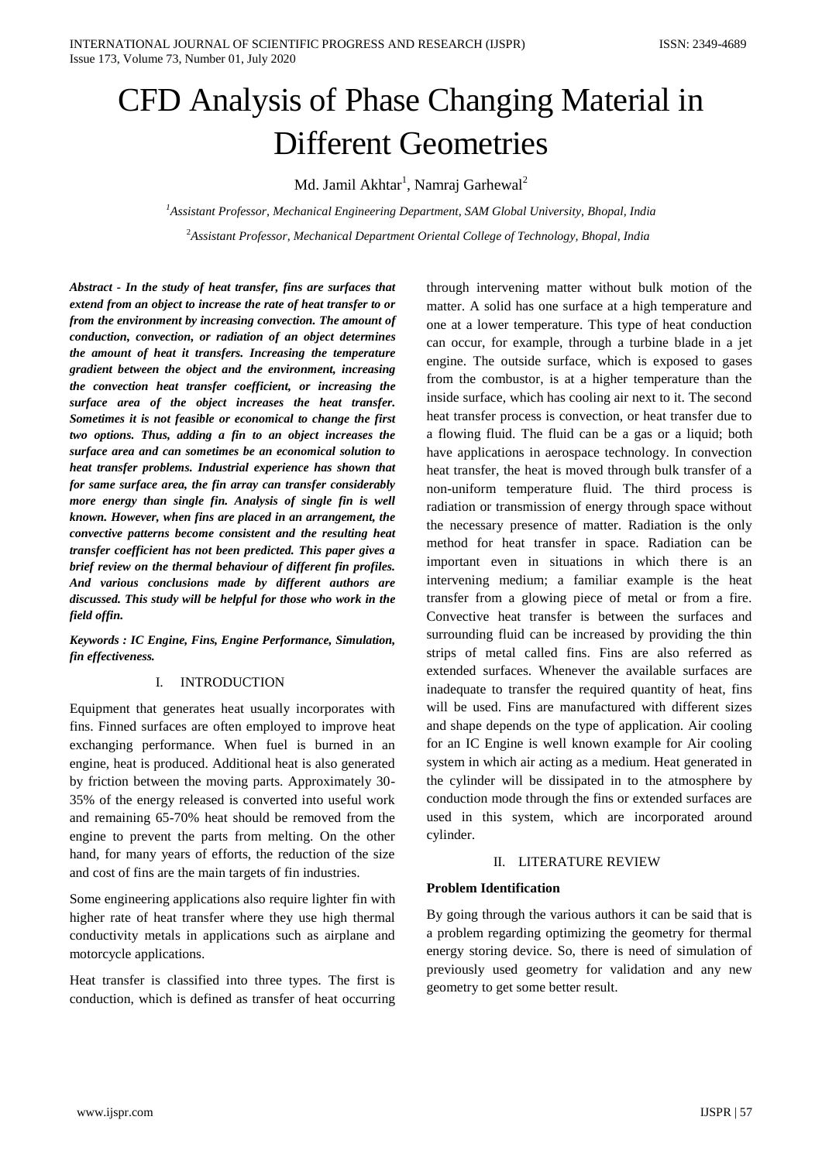# CFD Analysis of Phase Changing Material in Different Geometries

Md. Jamil Akhtar<sup>1</sup>, Namraj Garhewal<sup>2</sup>

*<sup>1</sup>Assistant Professor, Mechanical Engineering Department, SAM Global University, Bhopal, India* <sup>2</sup>*Assistant Professor, Mechanical Department Oriental College of Technology, Bhopal, India*

*Abstract - In the study of [heat transfer, f](https://en.wikipedia.org/wiki/Heat_transfer)ins are surfaces that extend from an object to increase the rate of heat transfer to or from the environment by increasin[g convection.](https://en.wikipedia.org/wiki/Convection) The amount of [conduction,](https://en.wikipedia.org/wiki/Heat_conduction) [convection,](https://en.wikipedia.org/wiki/Convection) or [radiation o](https://en.wikipedia.org/wiki/Radiation)f an object determines the amount of heat it transfers. Increasing the [temperature](https://en.wikipedia.org/wiki/Temperature)  gradient between the object and the [environment,](https://en.wikipedia.org/wiki/Natural_environment) increasing the convection [heat transfer coefficient,](https://en.wikipedia.org/wiki/Heat_transfer_coefficient) or increasing the [surface area o](https://en.wikipedia.org/wiki/Surface_area)f the object increases the heat transfer. Sometimes it is not [feasible o](https://en.wikipedia.org/wiki/Logical_possibility)r [economical t](https://en.wikipedia.org/wiki/Economical)o change the first two options. Thus, adding a fin to an object increases the surface area and can sometimes be an economical solution to heat transfer problems. Industrial experience has shown that for same surface area, the fin array can transfer considerably more energy than single fin. Analysis of single fin is well known. However, when fins are placed in an arrangement, the convective patterns become consistent and the resulting heat transfer coefficient has not been predicted. This paper gives a brief review on the thermal behaviour of different fin profiles. And various conclusions made by different authors are discussed. This study will be helpful for those who work in the field offin.*

*Keywords : IC Engine, Fins, Engine Performance, Simulation, fin effectiveness.*

#### I. INTRODUCTION

Equipment that generates heat usually incorporates with fins. Finned surfaces are often employed to improve heat exchanging performance. When fuel is burned in an engine, heat is produced. Additional heat is also generated by friction between the moving parts. Approximately 30- 35% of the energy released is converted into useful work and remaining 65-70% heat should be removed from the engine to prevent the parts from melting. On the other hand, for many years of efforts, the reduction of the size and cost of fins are the main targets of fin industries.

Some engineering applications also require lighter fin with higher rate of heat transfer where they use high thermal conductivity metals in applications such as airplane and motorcycle applications.

Heat transfer is classified into three types. The first is conduction, which is defined as transfer of heat occurring

through intervening matter without bulk motion of the matter. A solid has one surface at a high temperature and one at a lower temperature. This type of heat conduction can occur, for example, through a turbine blade in a jet engine. The outside surface, which is exposed to gases from the combustor, is at a higher temperature than the inside surface, which has cooling air next to it. The second heat transfer process is convection, or heat transfer due to a flowing fluid. The fluid can be a gas or a liquid; both have applications in aerospace technology. In convection heat transfer, the heat is moved through bulk transfer of a non-uniform temperature fluid. The third process is radiation or transmission of energy through space without the necessary presence of matter. Radiation is the only method for heat transfer in space. Radiation can be important even in situations in which there is an intervening medium; a familiar example is the heat transfer from a glowing piece of metal or from a fire. Convective heat transfer is between the surfaces and surrounding fluid can be increased by providing the thin strips of metal called fins. Fins are also referred as extended surfaces. Whenever the available surfaces are inadequate to transfer the required quantity of heat, fins will be used. Fins are manufactured with different sizes and shape depends on the type of application. Air cooling for an IC Engine is well known example for Air cooling system in which air acting as a medium. Heat generated in the cylinder will be dissipated in to the atmosphere by conduction mode through the fins or extended surfaces are used in this system, which are incorporated around cylinder.

#### II. LITERATURE REVIEW

#### **Problem Identification**

By going through the various authors it can be said that is a problem regarding optimizing the geometry for thermal energy storing device. So, there is need of simulation of previously used geometry for validation and any new geometry to get some better result.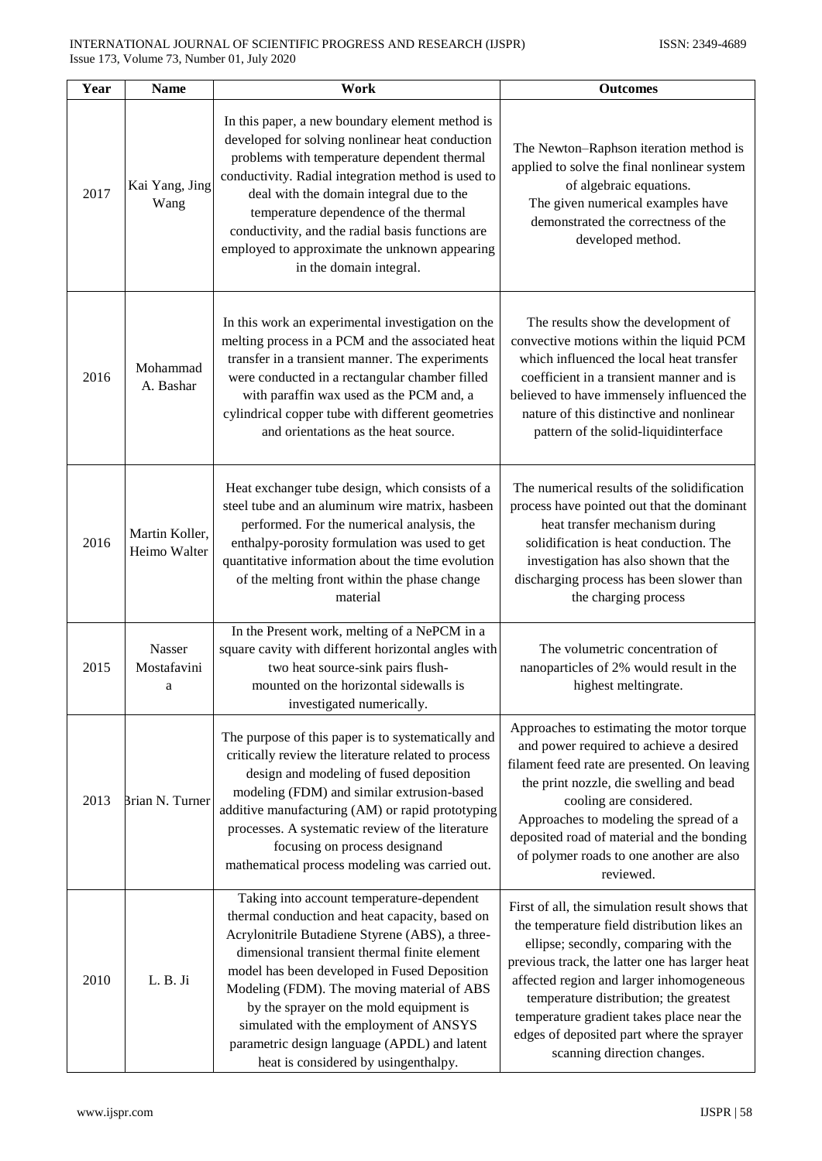| Year | <b>Name</b>                    | Work                                                                                                                                                                                                                                                                                                                                                                                                                                                                      | <b>Outcomes</b>                                                                                                                                                                                                                                                                                                                                                                                         |
|------|--------------------------------|---------------------------------------------------------------------------------------------------------------------------------------------------------------------------------------------------------------------------------------------------------------------------------------------------------------------------------------------------------------------------------------------------------------------------------------------------------------------------|---------------------------------------------------------------------------------------------------------------------------------------------------------------------------------------------------------------------------------------------------------------------------------------------------------------------------------------------------------------------------------------------------------|
| 2017 | Kai Yang, Jing<br>Wang         | In this paper, a new boundary element method is<br>developed for solving nonlinear heat conduction<br>problems with temperature dependent thermal<br>conductivity. Radial integration method is used to<br>deal with the domain integral due to the<br>temperature dependence of the thermal<br>conductivity, and the radial basis functions are<br>employed to approximate the unknown appearing<br>in the domain integral.                                              | The Newton-Raphson iteration method is<br>applied to solve the final nonlinear system<br>of algebraic equations.<br>The given numerical examples have<br>demonstrated the correctness of the<br>developed method.                                                                                                                                                                                       |
| 2016 | Mohammad<br>A. Bashar          | In this work an experimental investigation on the<br>melting process in a PCM and the associated heat<br>transfer in a transient manner. The experiments<br>were conducted in a rectangular chamber filled<br>with paraffin wax used as the PCM and, a<br>cylindrical copper tube with different geometries<br>and orientations as the heat source.                                                                                                                       | The results show the development of<br>convective motions within the liquid PCM<br>which influenced the local heat transfer<br>coefficient in a transient manner and is<br>believed to have immensely influenced the<br>nature of this distinctive and nonlinear<br>pattern of the solid-liquidinterface                                                                                                |
| 2016 | Martin Koller,<br>Heimo Walter | Heat exchanger tube design, which consists of a<br>steel tube and an aluminum wire matrix, hasbeen<br>performed. For the numerical analysis, the<br>enthalpy-porosity formulation was used to get<br>quantitative information about the time evolution<br>of the melting front within the phase change<br>material                                                                                                                                                        | The numerical results of the solidification<br>process have pointed out that the dominant<br>heat transfer mechanism during<br>solidification is heat conduction. The<br>investigation has also shown that the<br>discharging process has been slower than<br>the charging process                                                                                                                      |
| 2015 | Nasser<br>Mostafavini<br>a     | In the Present work, melting of a NePCM in a<br>square cavity with different horizontal angles with<br>two heat source-sink pairs flush-<br>mounted on the horizontal sidewalls is<br>investigated numerically.                                                                                                                                                                                                                                                           | The volumetric concentration of<br>nanoparticles of 2% would result in the<br>highest meltingrate.                                                                                                                                                                                                                                                                                                      |
| 2013 | Brian N. Turner                | The purpose of this paper is to systematically and<br>critically review the literature related to process<br>design and modeling of fused deposition<br>modeling (FDM) and similar extrusion-based<br>additive manufacturing (AM) or rapid prototyping<br>processes. A systematic review of the literature<br>focusing on process designand<br>mathematical process modeling was carried out.                                                                             | Approaches to estimating the motor torque<br>and power required to achieve a desired<br>filament feed rate are presented. On leaving<br>the print nozzle, die swelling and bead<br>cooling are considered.<br>Approaches to modeling the spread of a<br>deposited road of material and the bonding<br>of polymer roads to one another are also<br>reviewed.                                             |
| 2010 | L.B.Ji                         | Taking into account temperature-dependent<br>thermal conduction and heat capacity, based on<br>Acrylonitrile Butadiene Styrene (ABS), a three-<br>dimensional transient thermal finite element<br>model has been developed in Fused Deposition<br>Modeling (FDM). The moving material of ABS<br>by the sprayer on the mold equipment is<br>simulated with the employment of ANSYS<br>parametric design language (APDL) and latent<br>heat is considered by usingenthalpy. | First of all, the simulation result shows that<br>the temperature field distribution likes an<br>ellipse; secondly, comparing with the<br>previous track, the latter one has larger heat<br>affected region and larger inhomogeneous<br>temperature distribution; the greatest<br>temperature gradient takes place near the<br>edges of deposited part where the sprayer<br>scanning direction changes. |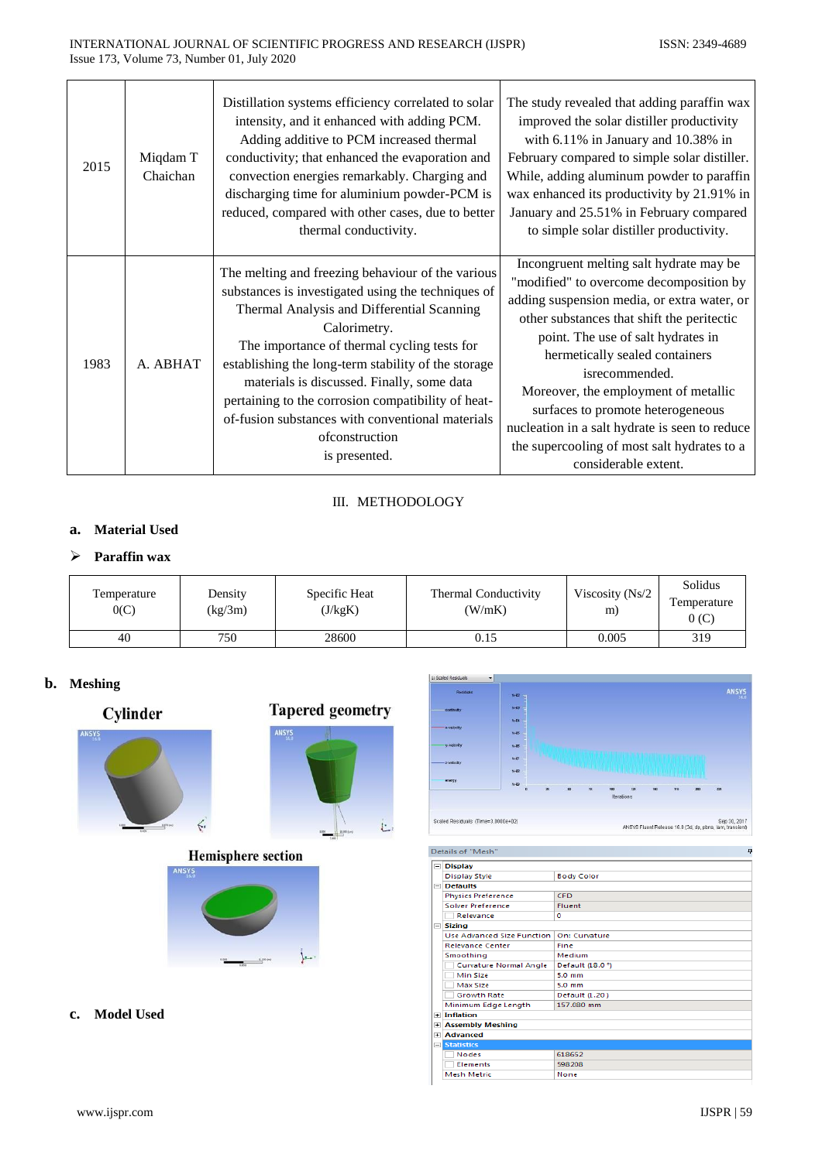| 2015 | Miqdam T<br>Chaichan | Distillation systems efficiency correlated to solar<br>intensity, and it enhanced with adding PCM.<br>Adding additive to PCM increased thermal<br>conductivity; that enhanced the evaporation and<br>convection energies remarkably. Charging and<br>discharging time for aluminium powder-PCM is<br>reduced, compared with other cases, due to better<br>thermal conductivity.                                                                                        | The study revealed that adding paraffin wax<br>improved the solar distiller productivity<br>with $6.11\%$ in January and $10.38\%$ in<br>February compared to simple solar distiller.<br>While, adding aluminum powder to paraffin<br>wax enhanced its productivity by 21.91% in<br>January and 25.51% in February compared<br>to simple solar distiller productivity.                                                                                                          |
|------|----------------------|------------------------------------------------------------------------------------------------------------------------------------------------------------------------------------------------------------------------------------------------------------------------------------------------------------------------------------------------------------------------------------------------------------------------------------------------------------------------|---------------------------------------------------------------------------------------------------------------------------------------------------------------------------------------------------------------------------------------------------------------------------------------------------------------------------------------------------------------------------------------------------------------------------------------------------------------------------------|
| 1983 | A. ABHAT             | The melting and freezing behaviour of the various<br>substances is investigated using the techniques of<br>Thermal Analysis and Differential Scanning<br>Calorimetry.<br>The importance of thermal cycling tests for<br>establishing the long-term stability of the storage<br>materials is discussed. Finally, some data<br>pertaining to the corrosion compatibility of heat-<br>of-fusion substances with conventional materials<br>ofconstruction<br>is presented. | Incongruent melting salt hydrate may be<br>"modified" to overcome decomposition by<br>adding suspension media, or extra water, or<br>other substances that shift the peritectic<br>point. The use of salt hydrates in<br>hermetically sealed containers<br>isrecommended.<br>Moreover, the employment of metallic<br>surfaces to promote heterogeneous<br>nucleation in a salt hydrate is seen to reduce<br>the supercooling of most salt hydrates to a<br>considerable extent. |

# III. METHODOLOGY

# **a. Material Used**

# **Paraffin wax**

| Temperature<br>0(C) | Density<br>(kg/3m) | Specific Heat<br>(J/kgK) | Thermal Conductivity<br>(W/mK) | Viscosity (Ns/2<br>m) | Solidus<br>Temperature<br>0(C) |
|---------------------|--------------------|--------------------------|--------------------------------|-----------------------|--------------------------------|
| 40                  | 750                | 28600                    | 0.15                           | 0.005                 | 319                            |

# **b. Meshing**





# **Hemisphere section**





#### Details of "Mesh" ņ  $\boxed{\square}$  Display Display Style **Body Color** Defaults<br>Physics Preference CFD Solver Preference Fluent  $\overline{\bullet}$ Sizing Use Advanced Size Function | On: Curvature Relevance Center Fine Smoothing<br>
Curvature Normal Angle<br>
Default (18.0 °) Min Size  $5.0 \text{ mm}$ Max Size<br>Growth Rate  $5.0$  mm Default (1.20) Minimum Edge Length 157.080 mm  $\boxed{\text{H}}$  Inflation **Example 1**<br> **Example 1**<br> **Example 1**<br> **Example 2**<br> **Example 2**<br> **Example 2**<br> **Example 2** 618652 Nodes Elements 598208 **Mesh Metric** None

**c. Model Used**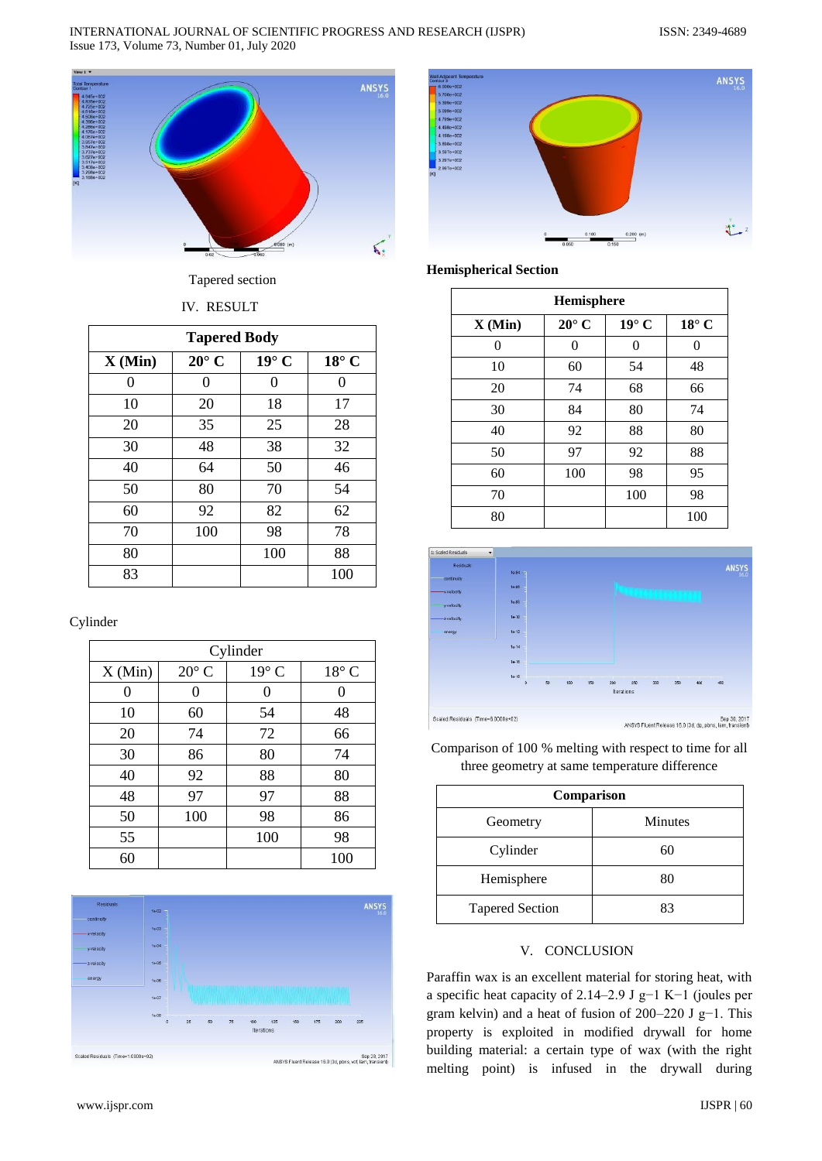#### INTERNATIONAL JOURNAL OF SCIENTIFIC PROGRESS AND RESEARCH (IJSPR) ISSN: 2349-4689 Issue 173, Volume 73, Number 01, July 2020



Tapered section

# IV. RESULT

| <b>Tapered Body</b> |                |              |                |  |
|---------------------|----------------|--------------|----------------|--|
| X(Min)              | $20^{\circ}$ C | $19^\circ$ C | $18^{\circ}$ C |  |
| 0                   | 0              | 0            | 0              |  |
| 10                  | 20             | 18           | 17             |  |
| 20                  | 35             | 25           | 28             |  |
| 30                  | 48             | 38           | 32             |  |
| 40                  | 64             | 50           | 46             |  |
| 50                  | 80             | 70           | 54             |  |
| 60                  | 92             | 82           | 62             |  |
| 70                  | 100            | 98           | 78             |  |
| 80                  |                | 100          | 88             |  |
| 83                  |                |              | 100            |  |

Cylinder

| Cylinder |                |              |                |
|----------|----------------|--------------|----------------|
| X(Min)   | $20^{\circ}$ C | $19^\circ$ C | $18^{\circ}$ C |
| 0        | 0              | 0            | 0              |
| 10       | 60             | 54           | 48             |
| 20       | 74             | 72           | 66             |
| 30       | 86             | 80           | 74             |
| 40       | 92             | 88           | 80             |
| 48       | 97             | 97           | 88             |
| 50       | 100            | 98           | 86             |
| 55       |                | 100          | 98             |
| 60       |                |              | 100            |





## **Hemispherical Section**

| Hemisphere |                |              |                |  |
|------------|----------------|--------------|----------------|--|
| X(Min)     | $20^{\circ}$ C | $19^\circ$ C | $18^{\circ}$ C |  |
| 0          | 0              | $\theta$     | 0              |  |
| 10         | 60             | 54           | 48             |  |
| 20         | 74             | 68           | 66             |  |
| 30         | 84             | 80           | 74             |  |
| 40         | 92             | 88           | 80             |  |
| 50         | 97             | 92           | 88             |  |
| 60         | 100            | 98           | 95             |  |
| 70         |                | 100          | 98             |  |
| 80         |                |              | 100            |  |



Comparison of 100 % melting with respect to time for all three geometry at same temperature difference

| Comparison             |                |  |  |
|------------------------|----------------|--|--|
| Geometry               | <b>Minutes</b> |  |  |
| Cylinder               | 60             |  |  |
| Hemisphere             | 80             |  |  |
| <b>Tapered Section</b> | 83             |  |  |

# V. CONCLUSION

Paraffin wax is an excellent material for storing heat, with a specific heat capacity of 2.14–2.9 J g−1 K−1 (joules per gram kelvin) and a heat of fusion of 200–220 J g−1. This property is exploited in modified drywall for home building material: a certain type of wax (with the right melting point) is infused in the drywall during